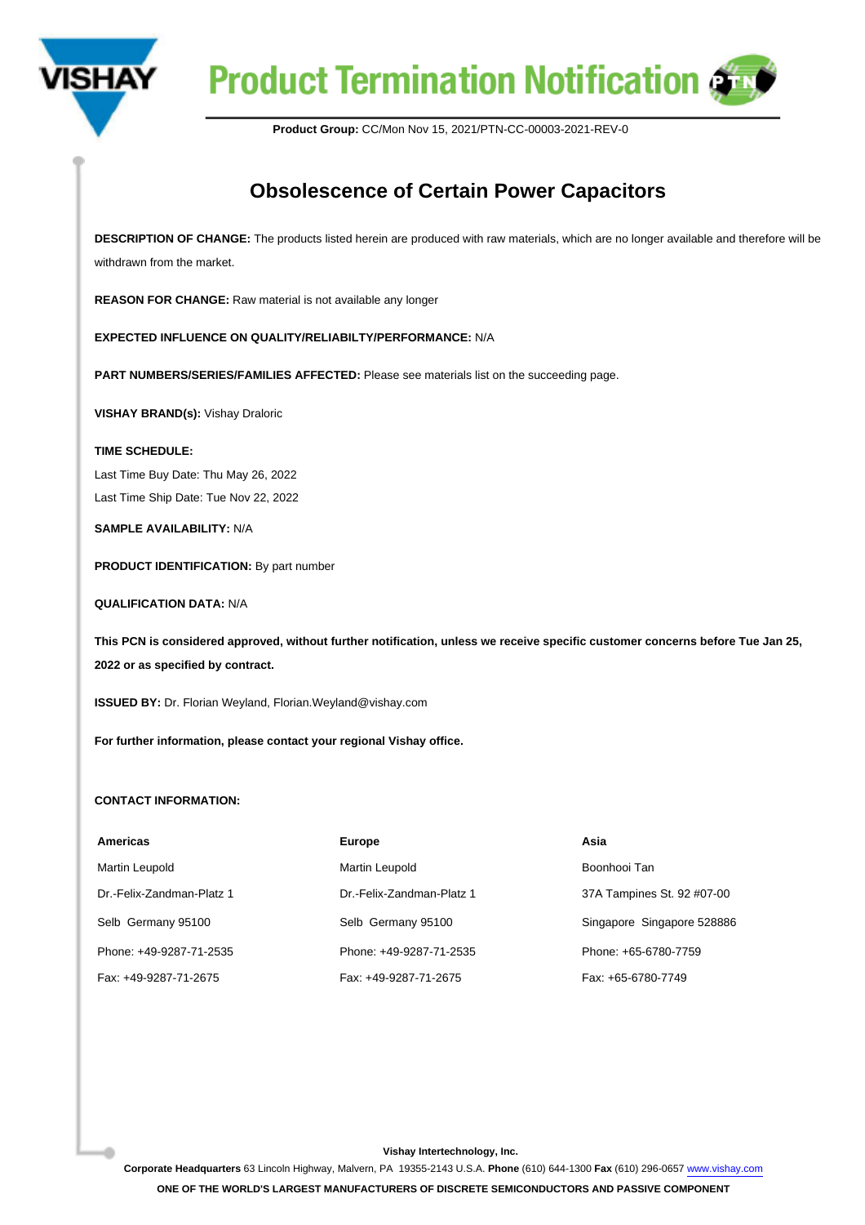

## **Product Termination Notification @**

**Product Group:** CC/Mon Nov 15, 2021/PTN-CC-00003-2021-REV-0

## **Obsolescence of Certain Power Capacitors**

**DESCRIPTION OF CHANGE:** The products listed herein are produced with raw materials, which are no longer available and therefore will be withdrawn from the market.

**REASON FOR CHANGE:** Raw material is not available any longer

**EXPECTED INFLUENCE ON QUALITY/RELIABILTY/PERFORMANCE:** N/A

**PART NUMBERS/SERIES/FAMILIES AFFECTED:** Please see materials list on the succeeding page.

**VISHAY BRAND(s):** Vishay Draloric

**TIME SCHEDULE:** 

Last Time Buy Date: Thu May 26, 2022 Last Time Ship Date: Tue Nov 22, 2022

**SAMPLE AVAILABILITY:** N/A

**PRODUCT IDENTIFICATION:** By part number

**QUALIFICATION DATA:** N/A

**This PCN is considered approved, without further notification, unless we receive specific customer concerns before Tue Jan 25, 2022 or as specified by contract.**

**ISSUED BY:** Dr. Florian Weyland, Florian.Weyland@vishay.com

**For further information, please contact your regional Vishay office.**

## **CONTACT INFORMATION:**

| <b>Americas</b>           | <b>Europe</b>             | Asia                       |
|---------------------------|---------------------------|----------------------------|
| Martin Leupold            | Martin Leupold            | Boonhooi Tan               |
| Dr.-Felix-Zandman-Platz 1 | Dr.-Felix-Zandman-Platz 1 | 37A Tampines St. 92 #07-00 |
| Selb Germany 95100        | Selb Germany 95100        | Singapore Singapore 528886 |
| Phone: +49-9287-71-2535   | Phone: +49-9287-71-2535   | Phone: +65-6780-7759       |
| Fax: +49-9287-71-2675     | Fax: +49-9287-71-2675     | Fax: +65-6780-7749         |

**Vishay Intertechnology, Inc.**

**Corporate Headquarters** 63 Lincoln Highway, Malvern, PA 19355-2143 U.S.A. **Phone** (610) 644-1300 **Fax** (610) 296-0657 [www.vishay.com](https://www.vishay.com)

**ONE OF THE WORLD'S LARGEST MANUFACTURERS OF DISCRETE SEMICONDUCTORS AND PASSIVE COMPONENT**